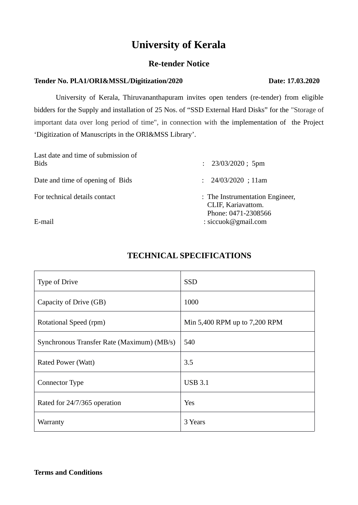# **University of Kerala**

## **Re-tender Notice**

## **Tender No. Pl.A1/ORI&MSSL/Digitization/2020 Date: 17.03.2020**

University of Kerala, Thiruvananthapuram invites open tenders (re-tender) from eligible bidders for the Supply and installation of 25 Nos. of "SSD External Hard Disks" for the "Storage of important data over long period of time", in connection with the implementation of the Project 'Digitization of Manuscripts in the ORI&MSS Library'.

| Last date and time of submission of<br><b>Bids</b> | : 23/03/2020; 5pm                                                            |
|----------------------------------------------------|------------------------------------------------------------------------------|
| Date and time of opening of Bids                   | : 24/03/2020 ; 11am                                                          |
| For technical details contact                      | : The Instrumentation Engineer,<br>CLIF, Kariavattom.<br>Phone: 0471-2308566 |
| E-mail                                             | : siccuok@gmail.com                                                          |

## **TECHNICAL SPECIFICATIONS**

| <b>Type of Drive</b>                       | <b>SSD</b>                    |
|--------------------------------------------|-------------------------------|
| Capacity of Drive (GB)                     | 1000                          |
| Rotational Speed (rpm)                     | Min 5,400 RPM up to 7,200 RPM |
| Synchronous Transfer Rate (Maximum) (MB/s) | 540                           |
| Rated Power (Watt)                         | 3.5                           |
| <b>Connector Type</b>                      | <b>USB 3.1</b>                |
| Rated for 24/7/365 operation               | Yes                           |
| Warranty                                   | 3 Years                       |